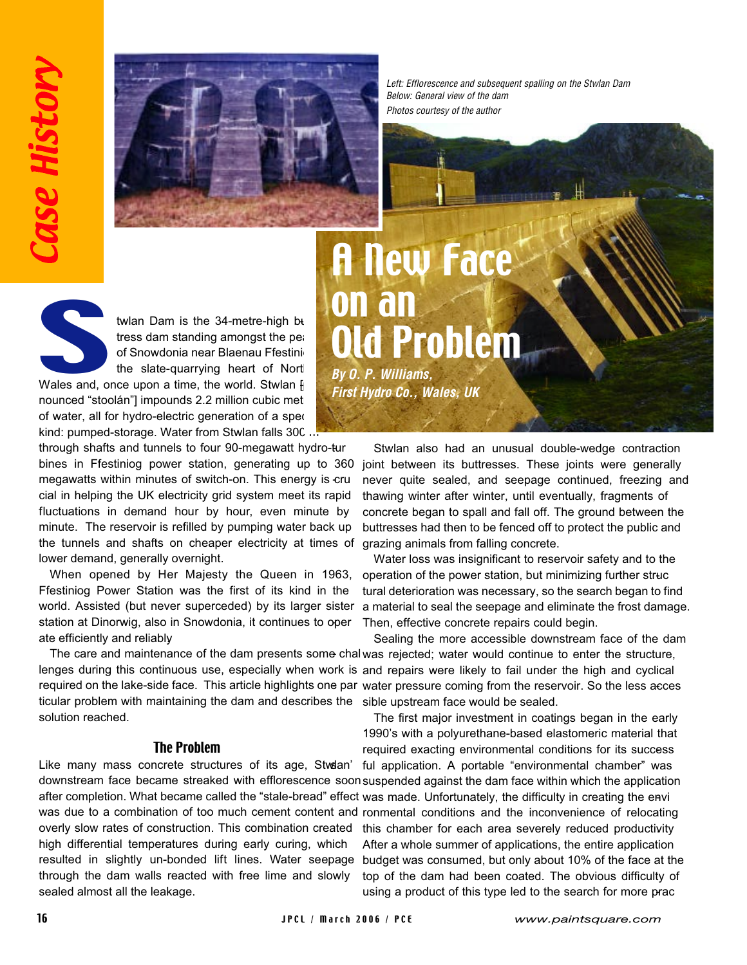

Left: Efflorescence and subsequent spalling on the Stwlan Dam Below: General view of the dam Photos courtesy of the author

A New Face

Old Problem

on an

**By O. P. Williams,** 

**First Hydro Co., Wales, UK**



twlan Dam is the  $34$ -metre-high but tress dam standing amongst the peaof Snowdonia near Blaenau Ffestini the slate-quarrying heart of North

Wales and, once upon a time, the world. Stwlan  $\mathfrak h$ nounced "stoolán"] impounds 2.2 million cubic met of water, all for hydro-electric generation of a special kind: pumped-storage. Water from Stwlan falls 300

through shafts and tunnels to four 90-megawatt hydro-tur bines in Ffestiniog power station, generating up to 360 megawatts within minutes of switch-on. This energy is cru cial in helping the UK electricity grid system meet its rapid fluctuations in demand hour by hour, even minute by minute. The reservoir is refilled by pumping water back up the tunnels and shafts on cheaper electricity at times of lower demand, generally overnight.

When opened by Her Majesty the Queen in 1963, Ffestiniog Power Station was the first of its kind in the world. Assisted (but never superceded) by its larger sister station at Dinorwig, also in Snowdonia, it continues to oper ate efficiently and reliably.

lenges during this continuous use, especially when work is and repairs were likely to fail under the high and cyclical required on the lake-side face. This article highlights one par water pressure coming from the reservoir. So the less acces ticular problem with maintaining the dam and describes the sible upstream face would be sealed. solution reached.

## The Problem

Like many mass concrete structures of its age, Stwdan' downstream face became streaked with efflorescence soon suspended against the dam face within which the application after completion. What became called the "stale-bread" effect was made. Unfortunately, the difficulty in creating the envi was due to a combination of too much cement content and ronmental conditions and the inconvenience of relocating overly slow rates of construction. This combination created high differential temperatures during early curing, which resulted in slightly un-bonded lift lines. Water seepage budget was consumed, but only about 10% of the face at the through the dam walls reacted with free lime and slowly sealed almost all the leakage.

Stwlan also had an unusual double-wedge contraction joint between its buttresses. These joints were generally never quite sealed, and seepage continued, freezing and thawing winter after winter, until eventually, fragments of concrete began to spall and fall off. The ground between the buttresses had then to be fenced off to protect the public and grazing animals from falling concrete.

Water loss was insignificant to reservoir safety and to the operation of the power station, but minimizing further structural deterioration was necessary, so the search began to find a material to seal the seepage and eliminate the frost damage. Then, effective concrete repairs could begin.

The care and maintenance of the dam presents some chal was rejected; water would continue to enter the structure, Sealing the more accessible downstream face of the dam

> The first major investment in coatings began in the early 1990's with a polyurethane-based elastomeric material that required exacting environmental conditions for its success ful application. A portable "environmental chamber" was this chamber for each area severely reduced productivity . After a whole summer of applications, the entire application top of the dam had been coated. The obvious difficulty of using a product of this type led to the search for more prac -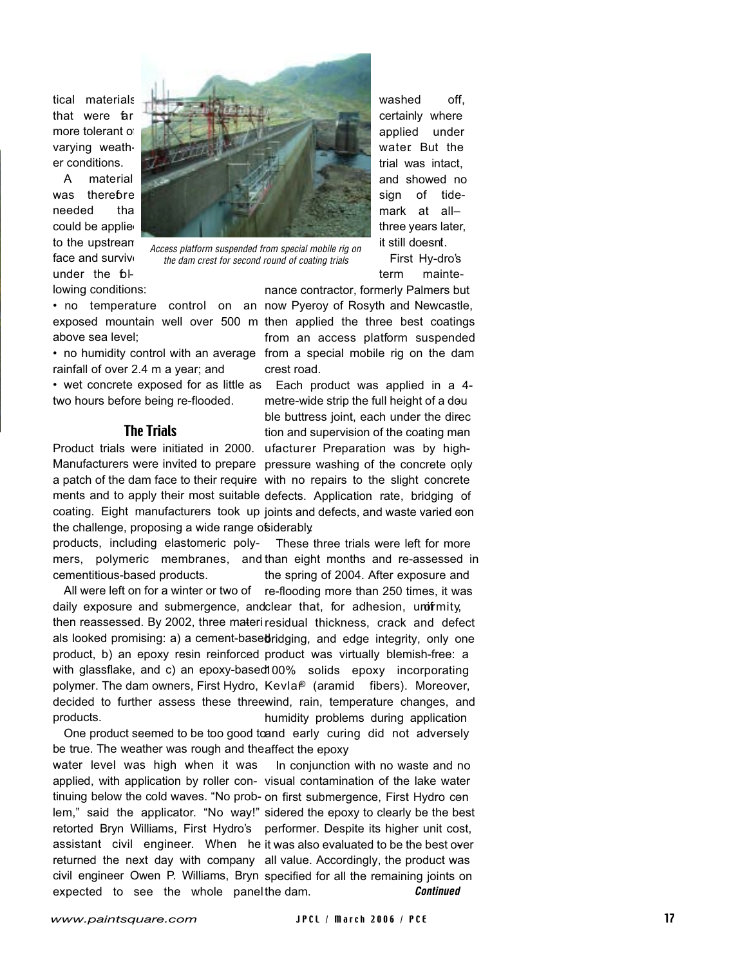tical materials that were far more tolerant of varying weather conditions.

A material was therebre needed tha could be applie to the upstream face and survive under the  $b$ lowing conditions:



Access platform suspended from special mobile rig on the dam crest for second round of coating trials

above sea level;

rainfall of over 2.4 m a year; and

two hours before being re-flooded.

## The Trials

the challenge, proposing a wide range of siderably.

products, including elastomeric polymers, polymeric membranes, and than eight months and re-assessed in cementitious-based products. These three trials were left for more the spring of 2004. After exposure and

All were left on for a winter or two of re-flooding more than 250 times, it was daily exposure and submergence, andclear that, for adhesion, unofrmity, then reassessed. By 2002, three materi residual thickness, crack and defect als looked promising: a) a cement-basedridging, and edge integrity, only one product, b) an epoxy resin reinforced product was virtually blemish-free: a with glassflake, and c) an epoxy-based 100% solids epoxy incorporating polymer. The dam owners, First Hydro, Kevla<sup>®</sup> (aramid fibers). Moreover, decided to further assess these three wind, rain, temperature changes, and products. humidity problems during application

One product seemed to be too good to and early curing did not adversely be true. The weather was rough and the affect the epoxy.

water level was high when it was applied, with application by roller con-visual contamination of the lake water tinuing below the cold waves. "No prob-on first submergence, First Hydro conlem," said the applicator. "No way!" sidered the epoxy to clearly be the best retorted Bryn Williams, First Hydro's performer. Despite its higher unit cost, assistant civil engineer. When he it was also evaluated to be the best over returned the next day with company all value. Accordingly, the product was civil engineer Owen P. Williams, Bryn specified for all the remaining joints on expected to see the whole panel the dam. **Continued** In conjunction with no waste and no

washed off. certainly where applied under water. But the trial was intact, and showed no sign of tidemark at all– three years later, it still doesnt.

First Hy-dro's term mainte-

nance contractor, formerly Palmers but

• no temperature control on an now Pyeroy of Rosyth and Newcastle, exposed mountain well over 500 m then applied the three best coatings • no humidity control with an average from a special mobile rig on the dam from an access platform suspended crest road.

• wet concrete exposed for as little as Each product was applied in a 4- Product trials were initiated in 2000. ufacturer Preparation was by high-Manufacturers were invited to prepare pressure washing of the concrete only a patch of the dam face to their require with no repairs to the slight concrete ments and to apply their most suitable defects. Application rate, bridging of coating. Eight manufacturers took up joints and defects, and waste varied con metre-wide strip the full height of a double buttress joint, each under the direc tion and supervision of the coating man